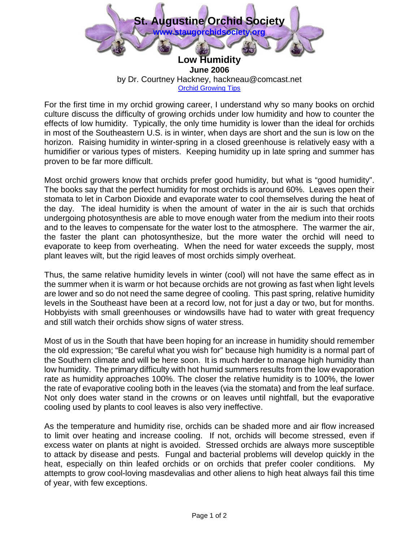

For the first time in my orchid growing career, I understand why so many books on orchid culture discuss the difficulty of growing orchids under low humidity and how to counter the effects of low humidity. Typically, the only time humidity is lower than the ideal for orchids in most of the Southeastern U.S. is in winter, when days are short and the sun is low on the horizon. Raising humidity in winter-spring in a closed greenhouse is relatively easy with a humidifier or various types of misters. Keeping humidity up in late spring and summer has proven to be far more difficult.

Most orchid growers know that orchids prefer good humidity, but what is "good humidity". The books say that the perfect humidity for most orchids is around 60%. Leaves open their stomata to let in Carbon Dioxide and evaporate water to cool themselves during the heat of the day. The ideal humidity is when the amount of water in the air is such that orchids undergoing photosynthesis are able to move enough water from the medium into their roots and to the leaves to compensate for the water lost to the atmosphere. The warmer the air, the faster the plant can photosynthesize, but the more water the orchid will need to evaporate to keep from overheating. When the need for water exceeds the supply, most plant leaves wilt, but the rigid leaves of most orchids simply overheat.

Thus, the same relative humidity levels in winter (cool) will not have the same effect as in the summer when it is warm or hot because orchids are not growing as fast when light levels are lower and so do not need the same degree of cooling. This past spring, relative humidity levels in the Southeast have been at a record low, not for just a day or two, but for months. Hobbyists with small greenhouses or windowsills have had to water with great frequency and still watch their orchids show signs of water stress.

Most of us in the South that have been hoping for an increase in humidity should remember the old expression; "Be careful what you wish for" because high humidity is a normal part of the Southern climate and will be here soon. It is much harder to manage high humidity than low humidity. The primary difficulty with hot humid summers results from the low evaporation rate as humidity approaches 100%. The closer the relative humidity is to 100%, the lower the rate of evaporative cooling both in the leaves (via the stomata) and from the leaf surface. Not only does water stand in the crowns or on leaves until nightfall, but the evaporative cooling used by plants to cool leaves is also very ineffective.

As the temperature and humidity rise, orchids can be shaded more and air flow increased to limit over heating and increase cooling. If not, orchids will become stressed, even if excess water on plants at night is avoided. Stressed orchids are always more susceptible to attack by disease and pests. Fungal and bacterial problems will develop quickly in the heat, especially on thin leafed orchids or on orchids that prefer cooler conditions. My attempts to grow cool-loving masdevalias and other aliens to high heat always fail this time of year, with few exceptions.